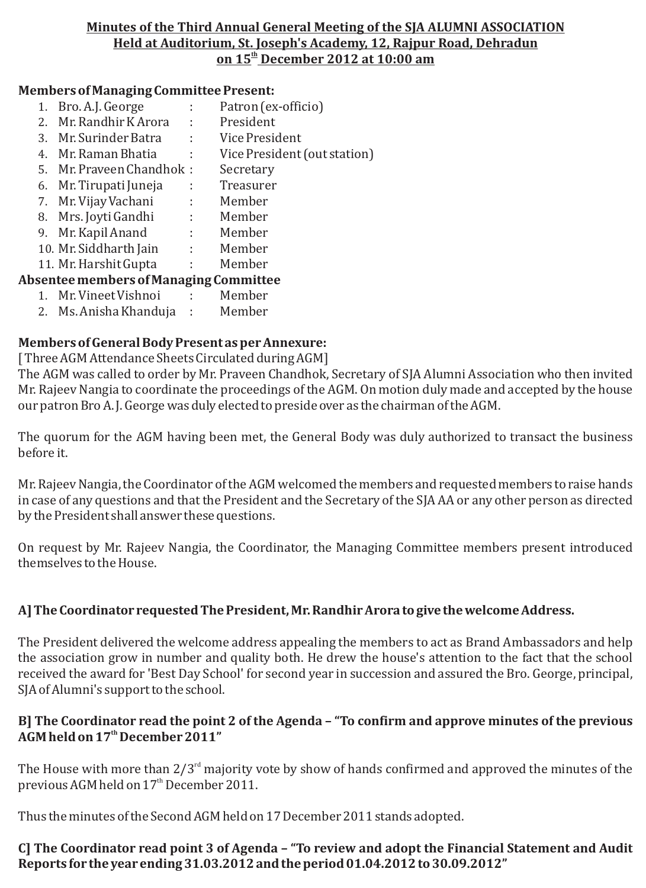#### **Minutes of the Third Annual General Meeting of the SJA ALUMNI ASSOCIATION Held at Auditorium, St. Joseph's Academy, 12, Rajpur Road, Dehradun th on 15 December 2012 at 10:00 am**

#### **Members of Managing Committee Present:**

- 1. Bro. A.J. George : Patron (ex-officio) 2. Mr. Randhir K Arora : President 3. Mr. Surinder Batra : Vice President 4. Mr. Raman Bhatia : Vice President (out station) 5. Mr. Praveen Chandhok : Secretary 6. Mr. Tirupati Juneja : Treasurer 7. Mr. Vijay Vachani : Member 8. Mrs. Joyti Gandhi : Member 9. Mr. Kapil Anand : Member 10. Mr. Siddharth Jain : Member 11. Mr. Harshit Gupta : Member **Absentee members of Managing Committee** 1. Mr. Vineet Vishnoi : Member
	-
	- 2. Ms. Anisha Khanduja : Member

## **Members of General Body Present as per Annexure:**

[ Three AGM Attendance Sheets Circulated during AGM]

The AGM was called to order by Mr. Praveen Chandhok, Secretary of SJA Alumni Association who then invited Mr. Rajeev Nangia to coordinate the proceedings of the AGM. On motion duly made and accepted by the house our patron Bro A. J. George was duly elected to preside over as the chairman of the AGM.

The quorum for the AGM having been met, the General Body was duly authorized to transact the business before it.

Mr. Rajeev Nangia, the Coordinator of the AGM welcomed the members and requested members to raise hands in case of any questions and that the President and the Secretary of the SJA AA or any other person as directed by the President shall answer these questions.

On request by Mr. Rajeev Nangia, the Coordinator, the Managing Committee members present introduced themselves to the House.

#### **A] The Coordinator requested The President, Mr. Randhir Arora to give the welcome Address.**

The President delivered the welcome address appealing the members to act as Brand Ambassadors and help the association grow in number and quality both. He drew the house's attention to the fact that the school received the award for 'Best Day School' for second year in succession and assured the Bro. George, principal, SJA of Alumni's support to the school.

#### **B] The Coordinator read the point 2 of the Agenda – "To confirm and approve minutes of the previous th AGM held on 17 December 2011"**

The House with more than  $2/3^{\rm rd}$  majority vote by show of hands confirmed and approved the minutes of the previous AGM held on 17<sup>th</sup> December 2011.

Thus the minutes of the Second AGM held on 17 December 2011 stands adopted.

## **C] The Coordinator read point 3 of Agenda – "To review and adopt the Financial Statement and Audit Reports for the year ending 31.03.2012 and the period 01.04.2012 to 30.09.2012"**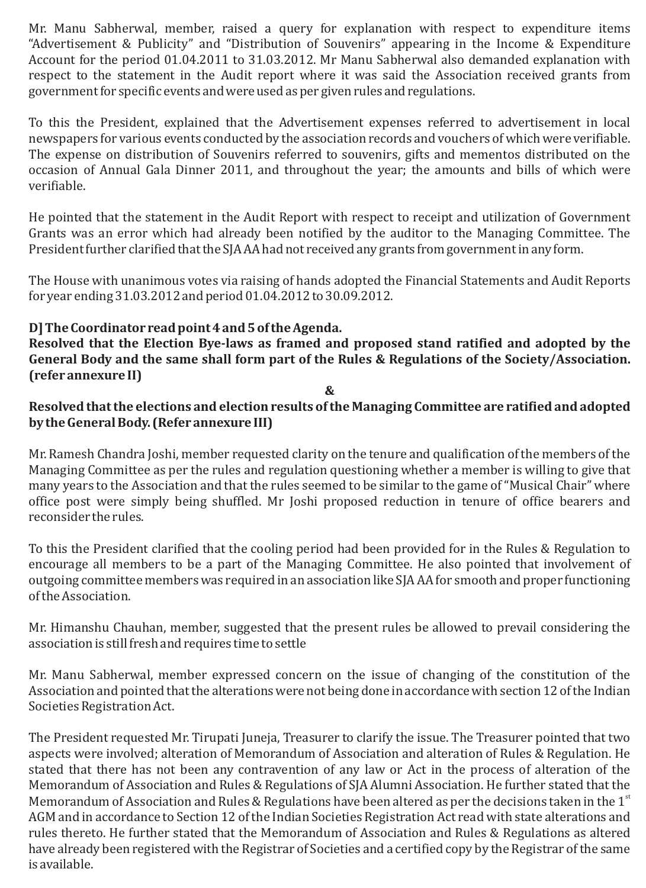Mr. Manu Sabherwal, member, raised a query for explanation with respect to expenditure items "Advertisement & Publicity" and "Distribution of Souvenirs" appearing in the Income & Expenditure Account for the period 01.04.2011 to 31.03.2012. Mr Manu Sabherwal also demanded explanation with respect to the statement in the Audit report where it was said the Association received grants from government for specific events and were used as per given rules and regulations.

To this the President, explained that the Advertisement expenses referred to advertisement in local newspapers for various events conducted by the association records and vouchers of which were verifiable. The expense on distribution of Souvenirs referred to souvenirs, gifts and mementos distributed on the occasion of Annual Gala Dinner 2011, and throughout the year; the amounts and bills of which were verifiable.

He pointed that the statement in the Audit Report with respect to receipt and utilization of Government Grants was an error which had already been notified by the auditor to the Managing Committee. The President further clarified that the SJA AA had not received any grants from government in any form.

The House with unanimous votes via raising of hands adopted the Financial Statements and Audit Reports for year ending 31.03.2012 and period 01.04.2012 to 30.09.2012.

## **D] The Coordinator read point 4 and 5 of the Agenda.**

**Resolved that the Election Bye-laws as framed and proposed stand ratified and adopted by the General Body and the same shall form part of the Rules & Regulations of the Society/Association. (refer annexure II)**

#### **&**

## **Resolved that the elections and election results of the Managing Committee are ratified and adopted by the General Body. (Refer annexure III)**

Mr. Ramesh Chandra Joshi, member requested clarity on the tenure and qualification of the members of the Managing Committee as per the rules and regulation questioning whether a member is willing to give that many years to the Association and that the rules seemed to be similar to the game of "Musical Chair" where office post were simply being shuffled. Mr Joshi proposed reduction in tenure of office bearers and reconsider the rules.

To this the President clarified that the cooling period had been provided for in the Rules & Regulation to encourage all members to be a part of the Managing Committee. He also pointed that involvement of outgoing committee members was required in an association like SJA AA for smooth and proper functioning of the Association.

Mr. Himanshu Chauhan, member, suggested that the present rules be allowed to prevail considering the association is still fresh and requires time to settle

Mr. Manu Sabherwal, member expressed concern on the issue of changing of the constitution of the Association and pointed that the alterations were not being done in accordance with section 12 of the Indian Societies Registration Act.

The President requested Mr. Tirupati Juneja, Treasurer to clarify the issue. The Treasurer pointed that two aspects were involved; alteration of Memorandum of Association and alteration of Rules & Regulation. He stated that there has not been any contravention of any law or Act in the process of alteration of the Memorandum of Association and Rules & Regulations of SJA Alumni Association. He further stated that the Memorandum of Association and Rules & Regulations have been altered as per the decisions taken in the  $1<sup>st</sup>$ AGM and in accordance to Section 12 of the Indian Societies Registration Act read with state alterations and rules thereto. He further stated that the Memorandum of Association and Rules & Regulations as altered have already been registered with the Registrar of Societies and a certified copy by the Registrar of the same is available.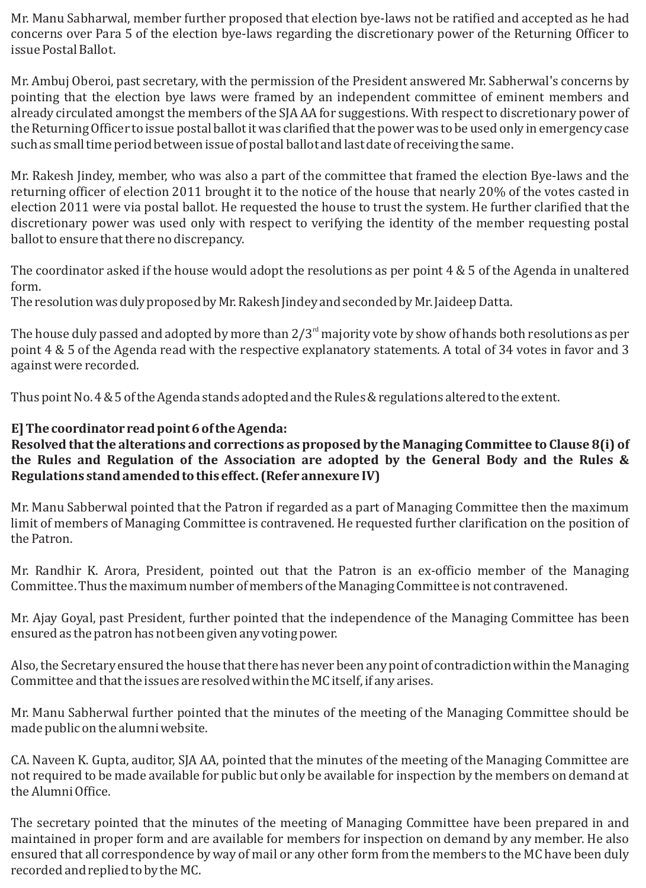Mr. Manu Sabharwal, member further proposed that election bye-laws not be ratified and accepted as he had concerns over Para 5 of the election bye-laws regarding the discretionary power of the Returning Officer to issue Postal Ballot.

Mr. Ambuj Oberoi, past secretary, with the permission of the President answered Mr. Sabherwal's concerns by pointing that the election bye laws were framed by an independent committee of eminent members and already circulated amongst the members of the SJA AA for suggestions. With respect to discretionary power of the Returning Officer to issue postal ballot it was clarified that the power was to be used only in emergency case such as small time period between issue of postal ballot and last date of receiving the same.

Mr. Rakesh Jindey, member, who was also a part of the committee that framed the election Bye-laws and the returning officer of election 2011 brought it to the notice of the house that nearly 20% of the votes casted in election 2011 were via postal ballot. He requested the house to trust the system. He further clarified that the discretionary power was used only with respect to verifying the identity of the member requesting postal ballot to ensure that there no discrepancy.

The coordinator asked if the house would adopt the resolutions as per point 4 & 5 of the Agenda in unaltered form.

The resolution was duly proposed by Mr. Rakesh Jindey and seconded by Mr. Jaideep Datta.

The house duly passed and adopted by more than  $2/3^{\rm rd}$  majority vote by show of hands both resolutions as per point 4 & 5 of the Agenda read with the respective explanatory statements. A total of 34 votes in favor and 3 against were recorded.

Thus point No. 4 & 5 of the Agenda stands adopted and the Rules & regulations altered to the extent.

# **E] The coordinator read point 6 of the Agenda:**

**Resolved that the alterations and corrections as proposed by the Managing Committee to Clause 8(i) of the Rules and Regulation of the Association are adopted by the General Body and the Rules & Regulations stand amended to this effect. (Refer annexure IV)**

Mr. Manu Sabberwal pointed that the Patron if regarded as a part of Managing Committee then the maximum limit of members of Managing Committee is contravened. He requested further clarification on the position of the Patron.

Mr. Randhir K. Arora, President, pointed out that the Patron is an ex-officio member of the Managing Committee. Thus the maximum number of members of the Managing Committee is not contravened.

Mr. Ajay Goyal, past President, further pointed that the independence of the Managing Committee has been ensured as the patron has not been given any voting power.

Also, the Secretary ensured the house that there has never been any point of contradiction within the Managing Committee and that the issues are resolved within the MC itself, if any arises.

Mr. Manu Sabherwal further pointed that the minutes of the meeting of the Managing Committee should be made public on the alumni website.

CA. Naveen K. Gupta, auditor, SJA AA, pointed that the minutes of the meeting of the Managing Committee are not required to be made available for public but only be available for inspection by the members on demand at the Alumni Office.

The secretary pointed that the minutes of the meeting of Managing Committee have been prepared in and maintained in proper form and are available for members for inspection on demand by any member. He also ensured that all correspondence by way of mail or any other form from the members to the MC have been duly recorded and replied to by the MC.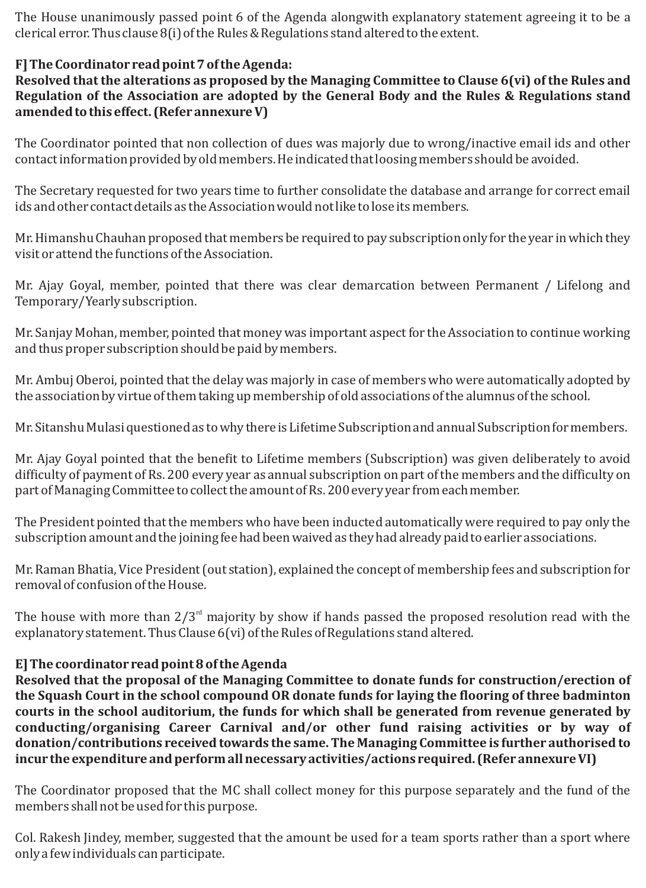The House unanimously passed point 6 of the Agenda alongwith explanatory statement agreeing it to be a clerical error. Thus clause 8(i) of the Rules & Regulations stand altered to the extent.

## **F] The Coordinator read point 7 of the Agenda:**

**Resolved that the alterations as proposed by the Managing Committee to Clause 6(vi) of the Rules and Regulation of the Association are adopted by the General Body and the Rules & Regulations stand amended to this effect. (Refer annexure V)**

The Coordinator pointed that non collection of dues was majorly due to wrong/inactive email ids and other contact information provided by old members. He indicated that loosing members should be avoided.

The Secretary requested for two years time to further consolidate the database and arrange for correct email ids and other contact details as the Association would not like to lose its members.

Mr. Himanshu Chauhan proposed that members be required to pay subscription only for the year in which they visit or attend the functions of the Association.

Mr. Ajay Goyal, member, pointed that there was clear demarcation between Permanent / Lifelong and Temporary/Yearly subscription.

Mr. Sanjay Mohan, member, pointed that money was important aspect for the Association to continue working and thus proper subscription should be paid by members.

Mr. Ambuj Oberoi, pointed that the delay was majorly in case of members who were automatically adopted by the association by virtue of them taking up membership of old associations of the alumnus of the school.

Mr. Sitanshu Mulasi questioned as to why there is Lifetime Subscription and annual Subscription for members.

Mr. Ajay Goyal pointed that the benefit to Lifetime members (Subscription) was given deliberately to avoid difficulty of payment of Rs. 200 every year as annual subscription on part of the members and the difficulty on part of Managing Committee to collect the amount of Rs. 200 every year from each member.

The President pointed that the members who have been inducted automatically were required to pay only the subscription amount and the joining fee had been waived as they had already paid to earlier associations.

Mr. Raman Bhatia, Vice President (out station), explained the concept of membership fees and subscription for removal of confusion of the House.

The house with more than  $2/3^{rd}$  majority by show if hands passed the proposed resolution read with the explanatory statement. Thus Clause 6(vi) of the Rules of Regulations stand altered.

## **E] The coordinator read point 8 of the Agenda**

**Resolved that the proposal of the Managing Committee to donate funds for construction/erection of the Squash Court in the school compound OR donate funds for laying the flooring of three badminton courts in the school auditorium, the funds for which shall be generated from revenue generated by conducting/organising Career Carnival and/or other fund raising activities or by way of donation/contributions received towards the same. The Managing Committee is further authorised to incur the expenditure and perform all necessary activities/actions required. (Refer annexure VI)**

The Coordinator proposed that the MC shall collect money for this purpose separately and the fund of the members shall not be used for this purpose.

Col. Rakesh Jindey, member, suggested that the amount be used for a team sports rather than a sport where only a few individuals can participate.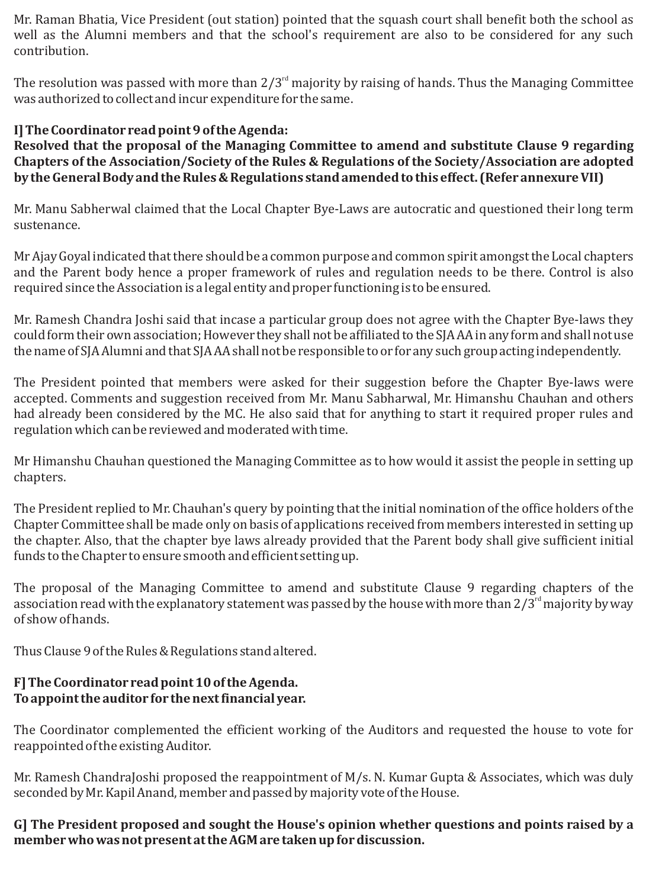Mr. Raman Bhatia, Vice President (out station) pointed that the squash court shall benefit both the school as well as the Alumni members and that the school's requirement are also to be considered for any such contribution.

The resolution was passed with more than  $2/3^{rd}$  majority by raising of hands. Thus the Managing Committee was authorized to collect and incur expenditure for the same.

# **I] The Coordinator read point 9 of the Agenda:**

**Resolved that the proposal of the Managing Committee to amend and substitute Clause 9 regarding Chapters of the Association/Society of the Rules & Regulations of the Society/Association are adopted by the General Body and the Rules & Regulations stand amended to this effect. (Refer annexure VII)**

Mr. Manu Sabherwal claimed that the Local Chapter Bye-Laws are autocratic and questioned their long term sustenance.

Mr Ajay Goyal indicated that there should be a common purpose and common spirit amongst the Local chapters and the Parent body hence a proper framework of rules and regulation needs to be there. Control is also required since the Association is a legal entity and proper functioning is to be ensured.

Mr. Ramesh Chandra Joshi said that incase a particular group does not agree with the Chapter Bye-laws they could form their own association; However they shall not be affiliated to the SJA AA in any form and shall not use the name of SJA Alumni and that SJA AA shall not be responsible to or for any such group acting independently.

The President pointed that members were asked for their suggestion before the Chapter Bye-laws were accepted. Comments and suggestion received from Mr. Manu Sabharwal, Mr. Himanshu Chauhan and others had already been considered by the MC. He also said that for anything to start it required proper rules and regulation which can be reviewed and moderated with time.

Mr Himanshu Chauhan questioned the Managing Committee as to how would it assist the people in setting up chapters.

The President replied to Mr. Chauhan's query by pointing that the initial nomination of the office holders of the Chapter Committee shall be made only on basis of applications received from members interested in setting up the chapter. Also, that the chapter bye laws already provided that the Parent body shall give sufficient initial funds to the Chapter to ensure smooth and efficient setting up.

The proposal of the Managing Committee to amend and substitute Clause 9 regarding chapters of the association read with the explanatory statement was passed by the house with more than 2/3 $^{\rm rd}$  majority by way of show of hands.

Thus Clause 9 of the Rules & Regulations stand altered.

# **F] The Coordinator read point 10 of the Agenda. To appoint the auditor for the next financial year.**

The Coordinator complemented the efficient working of the Auditors and requested the house to vote for reappointed of the existing Auditor.

Mr. Ramesh ChandraJoshi proposed the reappointment of M/s. N. Kumar Gupta & Associates, which was duly seconded by Mr. Kapil Anand, member and passed by majority vote of the House.

**G] The President proposed and sought the House's opinion whether questions and points raised by a member who was not present at the AGM are taken up for discussion.**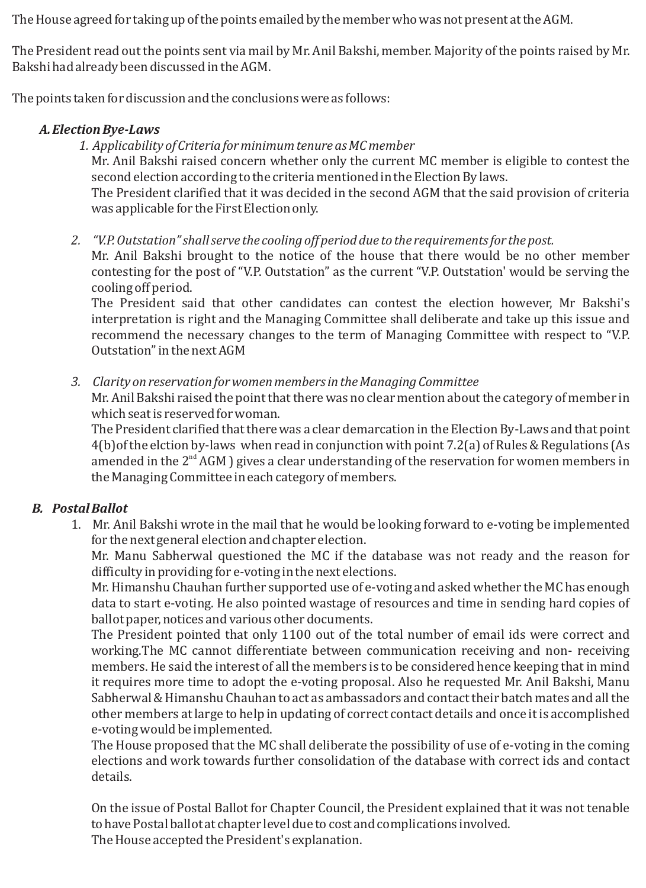The House agreed for taking up of the points emailed by the member who was not present at the AGM.

The President read out the points sent via mail by Mr. Anil Bakshi, member. Majority of the points raised by Mr. Bakshi had already been discussed in the AGM.

The points taken for discussion and the conclusions were as follows:

## *A.Election Bye-Laws*

*1. Applicability of Criteria for minimum tenure as MC member*

Mr. Anil Bakshi raised concern whether only the current MC member is eligible to contest the second election according to the criteria mentioned in the Election By laws.

The President clarified that it was decided in the second AGM that the said provision of criteria was applicable for the First Election only.

*2. "V.P. Outstation" shall serve the cooling off period due to the requirements for the post.*

Mr. Anil Bakshi brought to the notice of the house that there would be no other member contesting for the post of "V.P. Outstation" as the current "V.P. Outstation' would be serving the cooling off period.

The President said that other candidates can contest the election however, Mr Bakshi's interpretation is right and the Managing Committee shall deliberate and take up this issue and recommend the necessary changes to the term of Managing Committee with respect to "V.P. Outstation" in the next AGM

*3. Clarity on reservation for women members in the Managing Committee*

Mr. Anil Bakshi raised the point that there was no clear mention about the category of member in which seat is reserved for woman.

The President clarified that there was a clear demarcation in the Election By-Laws and that point 4(b)of the elction by-laws when read in conjunction with point 7.2(a) of Rules & Regulations (As amended in the  $2<sup>nd</sup> AGM$  ) gives a clear understanding of the reservation for women members in the Managing Committee in each category of members.

# *B. Postal Ballot*

1. Mr. Anil Bakshi wrote in the mail that he would be looking forward to e-voting be implemented for the next general election and chapter election.

Mr. Manu Sabherwal questioned the MC if the database was not ready and the reason for difficulty in providing for e-voting in the next elections.

Mr. Himanshu Chauhan further supported use of e-voting and asked whether the MC has enough data to start e-voting. He also pointed wastage of resources and time in sending hard copies of ballot paper, notices and various other documents.

The President pointed that only 1100 out of the total number of email ids were correct and working.The MC cannot differentiate between communication receiving and non- receiving members. He said the interest of all the members is to be considered hence keeping that in mind it requires more time to adopt the e-voting proposal. Also he requested Mr. Anil Bakshi, Manu Sabherwal & Himanshu Chauhan to act as ambassadors and contact their batch mates and all the other members at large to help in updating of correct contact details and once it is accomplished e-voting would be implemented.

The House proposed that the MC shall deliberate the possibility of use of e-voting in the coming elections and work towards further consolidation of the database with correct ids and contact details.

On the issue of Postal Ballot for Chapter Council, the President explained that it was not tenable to have Postal ballot at chapter level due to cost and complications involved.

The House accepted the President's explanation.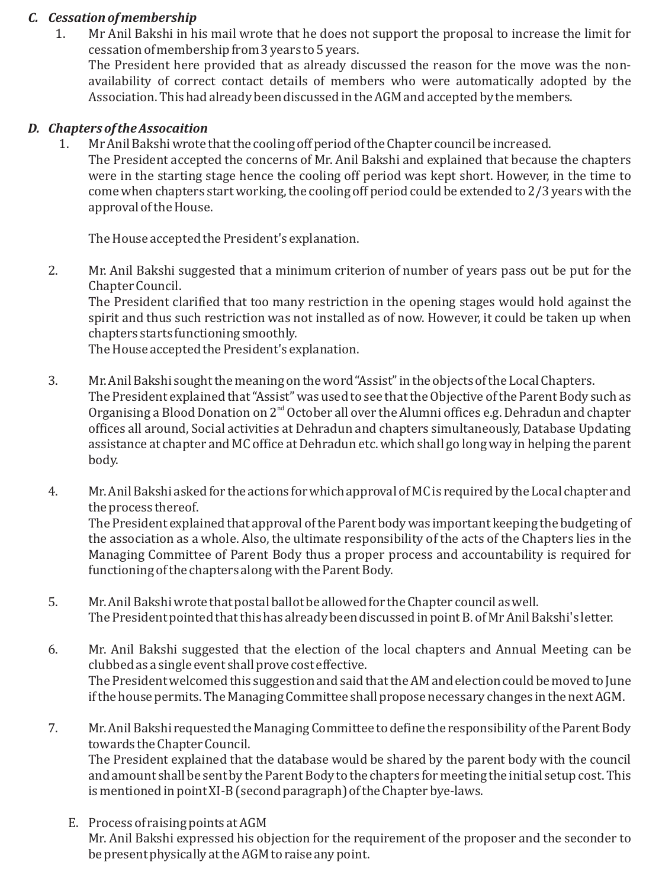## *C. Cessation of membership*

1. Mr Anil Bakshi in his mail wrote that he does not support the proposal to increase the limit for cessation of membership from 3 years to 5 years.

The President here provided that as already discussed the reason for the move was the nonavailability of correct contact details of members who were automatically adopted by the Association. This had already been discussed in the AGM and accepted by the members.

## *D. Chapters of the Assocaition*

1. Mr Anil Bakshi wrote that the cooling off period of the Chapter council be increased.

The President accepted the concerns of Mr. Anil Bakshi and explained that because the chapters were in the starting stage hence the cooling off period was kept short. However, in the time to come when chapters start working, the cooling off period could be extended to 2/3 years with the approval of the House.

The House accepted the President's explanation.

2. Mr. Anil Bakshi suggested that a minimum criterion of number of years pass out be put for the Chapter Council.

The President clarified that too many restriction in the opening stages would hold against the spirit and thus such restriction was not installed as of now. However, it could be taken up when chapters starts functioning smoothly.

The House accepted the President's explanation.

- 3. Mr. Anil Bakshi sought the meaning on the word "Assist" in the objects of the Local Chapters. The President explained that "Assist" was used to see that the Objective of the Parent Body such as Organising a Blood Donation on  $2^{nd}$  October all over the Alumni offices e.g. Dehradun and chapter offices all around, Social activities at Dehradun and chapters simultaneously, Database Updating assistance at chapter and MC office at Dehradun etc. which shall go long way in helping the parent body.
- 4. Mr. Anil Bakshi asked for the actions for which approval of MC is required by the Local chapter and the process thereof. The President explained that approval of the Parent body was important keeping the budgeting of the association as a whole. Also, the ultimate responsibility of the acts of the Chapters lies in the Managing Committee of Parent Body thus a proper process and accountability is required for functioning of the chapters along with the Parent Body.
- 5. Mr. Anil Bakshi wrote that postal ballot be allowed for the Chapter council as well. The President pointed that this has already been discussed in point B. of Mr Anil Bakshi's letter.
- 6. Mr. Anil Bakshi suggested that the election of the local chapters and Annual Meeting can be clubbed as a single event shall prove cost effective. The President welcomed this suggestion and said that the AM and election could be moved to June if the house permits. The Managing Committee shall propose necessary changes in the next AGM.
- 7. Mr. Anil Bakshi requested the Managing Committee to define the responsibility of the Parent Body towards the Chapter Council. The President explained that the database would be shared by the parent body with the council and amount shall be sent by the Parent Body to the chapters for meeting the initial setup cost. This is mentioned in point XI-B (second paragraph) of the Chapter bye-laws.
	- E. Process of raising points at AGM Mr. Anil Bakshi expressed his objection for the requirement of the proposer and the seconder to be present physically at the AGM to raise any point.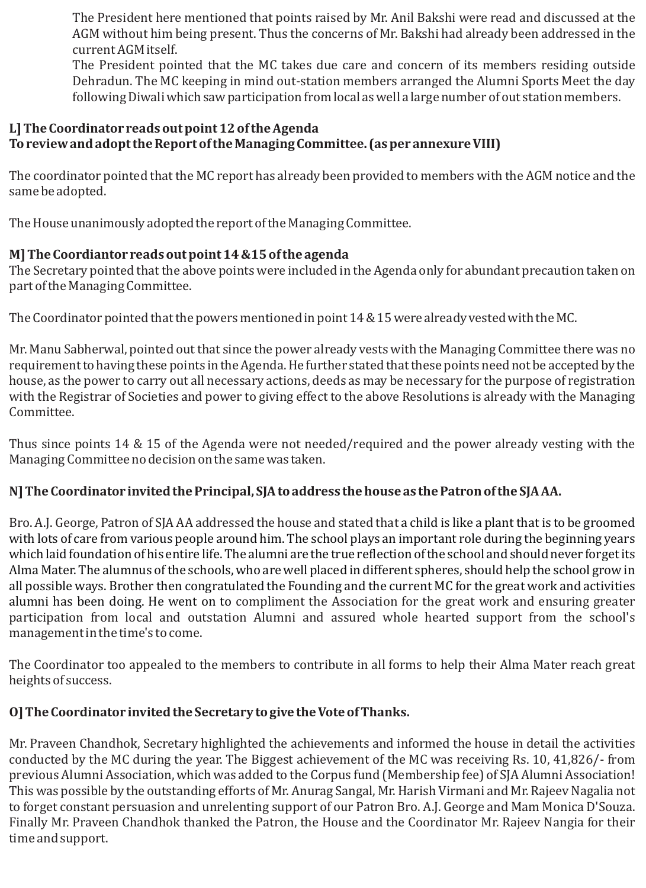The President here mentioned that points raised by Mr. Anil Bakshi were read and discussed at the AGM without him being present. Thus the concerns of Mr. Bakshi had already been addressed in the current AGM itself.

The President pointed that the MC takes due care and concern of its members residing outside Dehradun. The MC keeping in mind out-station members arranged the Alumni Sports Meet the day following Diwali which saw participation from local as well a large number of out station members.

## **L] The Coordinator reads out point 12 of the Agenda To review and adopt the Report of the Managing Committee. (as per annexure VIII)**

The coordinator pointed that the MC report has already been provided to members with the AGM notice and the same be adopted.

The House unanimously adopted the report of the Managing Committee.

# **M] The Coordiantor reads out point 14 &15 of the agenda**

The Secretary pointed that the above points were included in the Agenda only for abundant precaution taken on part of the Managing Committee.

The Coordinator pointed that the powers mentioned in point 14 & 15 were already vested with the MC.

Mr. Manu Sabherwal, pointed out that since the power already vests with the Managing Committee there was no requirement to having these points in the Agenda. He further stated that these points need not be accepted by the house, as the power to carry out all necessary actions, deeds as may be necessary for the purpose of registration with the Registrar of Societies and power to giving effect to the above Resolutions is already with the Managing Committee.

Thus since points 14 & 15 of the Agenda were not needed/required and the power already vesting with the Managing Committee no decision on the same was taken.

# **N] The Coordinator invited the Principal, SJA to address the house as the Patron of the SJA AA.**

Bro. A.J. George, Patron of SJA AA addressed the house and stated that a child is like a plant that is to be groomed alumni has been doing. He went on to compliment the Association for the great work and ensuring greater participation from local and outstation Alumni and assured whole hearted support from the school's management in the time's to come. with lots of care from various people around him. The school plays an important role during the beginning years which laid foundation of his entire life. The alumni are the true reflection of the school and should never forget its Alma Mater. The alumnus of the schools, who are well placed in different spheres, should help the school grow in all possible ways. Brother then congratulated the Founding and the current MC for the great work and activities

The Coordinator too appealed to the members to contribute in all forms to help their Alma Mater reach great heights of success.

# **O] The Coordinator invited the Secretary to give the Vote of Thanks.**

Mr. Praveen Chandhok, Secretary highlighted the achievements and informed the house in detail the activities conducted by the MC during the year. The Biggest achievement of the MC was receiving Rs. 10, 41,826/- from previous Alumni Association, which was added to the Corpus fund (Membership fee) of SJA Alumni Association! This was possible by the outstanding efforts of Mr. Anurag Sangal, Mr. Harish Virmani and Mr. Rajeev Nagalia not to forget constant persuasion and unrelenting support of our Patron Bro. A.J. George and Mam Monica D'Souza. Finally Mr. Praveen Chandhok thanked the Patron, the House and the Coordinator Mr. Rajeev Nangia for their time and support.